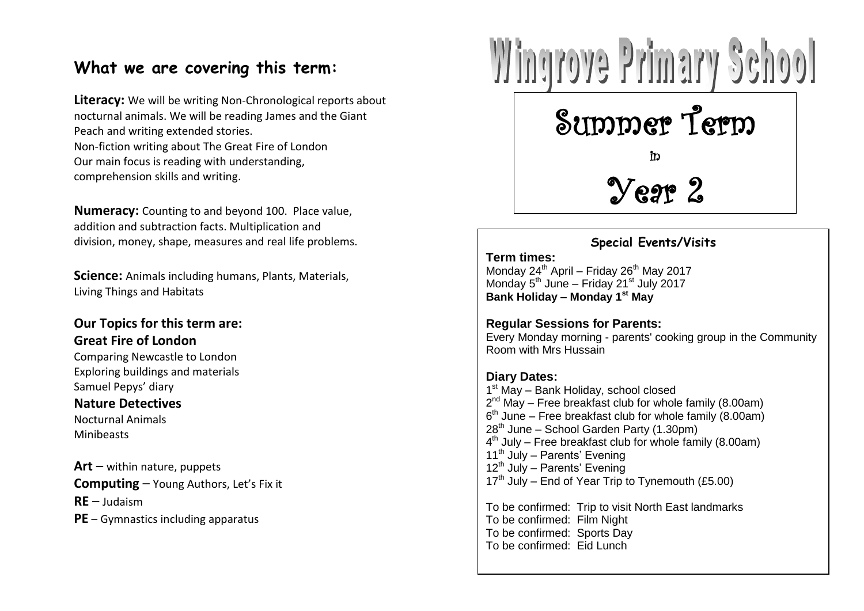### **What we are covering this term:**

**Literacy:** We will be writing Non-Chronological reports about nocturnal animals. We will be reading James and the Giant Peach and writing extended stories. Non-fiction writing about The Great Fire of London Our main focus is reading with understanding, comprehension skills and writing.

**Numeracy:** Counting to and beyond 100. Place value, addition and subtraction facts. Multiplication and division, money, shape, measures and real life problems.

**Science:** Animals including humans, Plants, Materials, Living Things and Habitats

### **Our Topics for this term are: Great Fire of London**

Comparing Newcastle to London Exploring buildings and materials Samuel Pepys' diary

#### **Nature Detectives**

Nocturnal Animals Minibeasts

**Art** – within nature, puppets **Computing** – Young Authors, Let's Fix it **RE** – Judaism **PE** – Gymnastics including apparatus



**Special Events/Visits**

 $Y$ egr $2$ 

#### **Term times:**

Monday  $24^{th}$  April – Friday  $26^{th}$  May 2017 Monday 5<sup>th</sup> June – Friday 21<sup>st</sup> July 2017 **Bank Holiday – Monday 1 st May**

### **Regular Sessions for Parents:**

 $\mathsf{B}$  Hussain  $\mathsf{B}$  and  $\mathsf{B}$  and  $\mathsf{B}$  and  $\mathsf{B}$  are  $\mathsf{B}$ Every Monday morning - parents' cooking group in the Community Room with Mrs Hussain

### **Diary Dates:**

I May Dank Hollary, schoor closed<br>2<sup>nd</sup> May – Free breakfast club for whole family (8.00am)<br>6<sup>th</sup> June – Free breakfast club for whole family (8.00am) zo Julie – School Galderi Farty (1.50pm)<br>4<sup>th</sup> July – Free breakfast club for whole family (8.00am)<br>11<sup>th</sup> July – Parents' Evening 1<sup>st</sup> May - Bank Holiday, school closed  $2^{nd}$  May – Free breakfast club for whole family (8.00am) 28<sup>th</sup> June – School Garden Party (1.30pm) 11<sup>th</sup> July – Parents' Evening  $12<sup>th</sup>$  July – Parents' Evening  $17<sup>th</sup>$  July – End of Year Trip to Tynemouth (£5.00)

To be confirmed: Trip to visit North East landmarks To be confirmed: Film Night To be confirmed: Sports Day To be confirmed: Eid Lunch